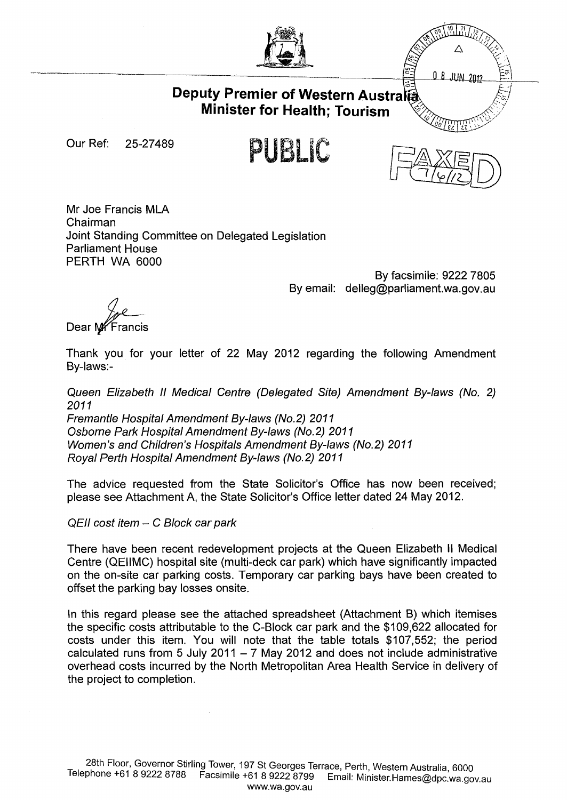

Δ  $08$  JUN 2012

## **Deputy Premier of Western Austra Minister for Health; Tourism**

Our Ref: 25-27 489

PUBLIC



Mr Joe Francis MLA Chairman Joint Standing Committee on Delegated Legislation Parliament House PERTH WA 6000

By facsimile: 9222 7805 By email: delleg@parliament.wa.gov.au

Dear MY Francis

Thank you for your letter of 22 May 2012 regarding the following Amendment By-laws:-

Queen Elizabeth II Medical Centre (Delegated Site) Amendment By-laws (No. 2) 2011 Fremantle Hospital Amendment By-laws (No.2) 2011 Osborne Park Hospital Amendment By-laws (No.2) 2011 Women's and Children's Hospitals Amendment By-laws (No.2) 2011 Royal Perth Hospital Amendment By-laws (No.2) 2011

The advice requested from the State Solicitor's Office has now been received; please see Attachment A, the State Solicitor's Office letter dated 24 May 2012.

QEII cost item - C Block car park

There have been recent redevelopment projects at the Queen Elizabeth II Medical Centre (QEIIMC) hospital site (multi-deck car park) which have significantly impacted on the on-site car parking costs. Temporary car parking bays have been created to offset the parking bay losses onsite.

In this regard please see the attached spreadsheet (Attachment B) which itemises the specific costs attributable to the C-Biock car park and the \$109,622 allocated for costs under this item. You will note that the table totals \$107,552; the period calculated runs from 5 July 2011  $-7$  May 2012 and does not include administrative overhead costs incurred by the North Metropolitan Area Health Service in delivery of the project to completion.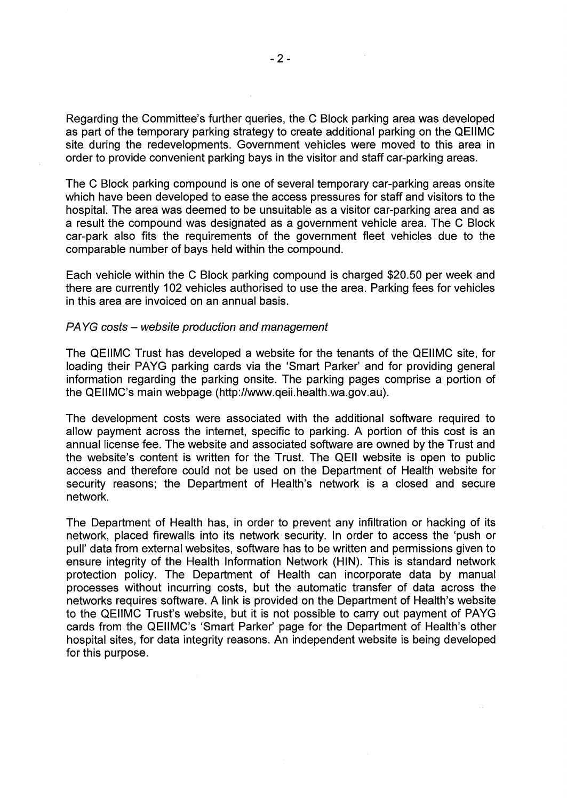Regarding the Committee's further queries, the C Block parking area was developed as part of the temporary parking strategy to create additional parking on the QEIIMC site during the redevelopments. Government vehicles were moved to this area in order to provide convenient parking bays in the visitor and staff car-parking areas.

The C Block parking compound is one of several temporary car-parking areas onsite which have been developed to ease the access pressures for staff and visitors to the hospital. The area was deemed to be unsuitable as a visitor car-parking area and as a result the compound was designated as a government vehicle area. The C Block car-park also fits the requirements of the government fleet vehicles due to the comparable number of bays held within the compound.

Each vehicle within the C Block parking compound is charged \$20.50 per week and there are currently 102 vehicles authorised to use the area. Parking fees for vehicles in this area are invoiced on an annual basis.

## PAYG costs - website production and management

The QEIIMC Trust has developed a website for the tenants of the QEIIMC site, for loading their PAYG parking cards via the 'Smart Parker' and for providing general information regarding the parking onsite. The parking pages comprise a portion of the QEIIMC's main webpage (http://www.qeii.health.wa.gov.au).

The development costs were associated with the additional software required to allow payment across the internet, specific to parking. A portion of this cost is an annual license fee. The website and associated software are owned by the Trust and the website's content is written for the Trust. The QEII website is open to public access and therefore could not be used on the Department of Health website for security reasons; the Department of Health's network is a closed and secure network.

The Department of Health has, in order to prevent any infiltration or hacking of its network, placed firewalls into its network security. In order to access the 'push or pull' data from external websites, software has to be written and permissions given to ensure integrity of the Health Information Network (HIN). This is standard network protection policy. The Department of Health can incorporate data by manual processes without incurring costs, but the automatic transfer of data across the networks requires software. A link is provided on the Department of Health's website to the QEIIMC Trust's website, but it is not possible to carry out payment of PAYG cards from the QEIIMC's 'Smart Parker' page for the Department of Health's other hospital sites, for data integrity reasons. An independent website is being developed for this purpose.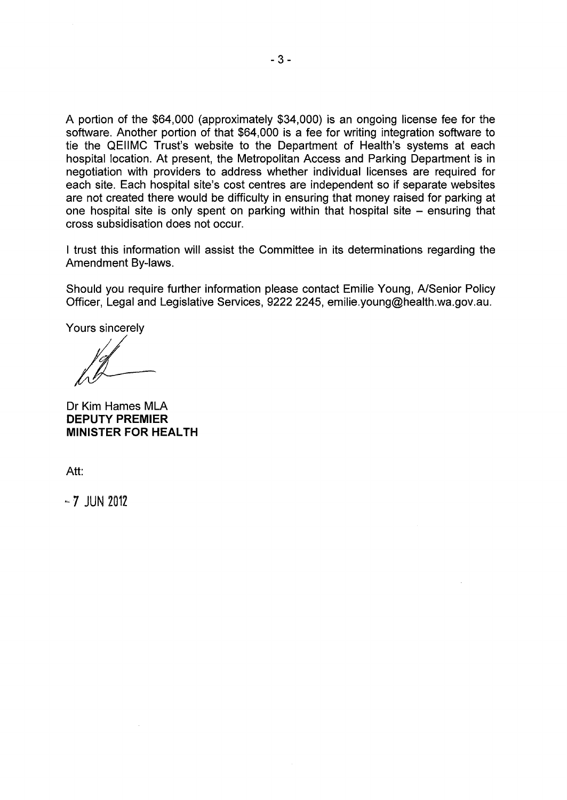A portion of the \$64,000 (approximately \$34,000) is an ongoing license fee for the software. Another portion of that \$64,000 is a fee for writing integration software to tie the QEIIMC Trust's website to the Department of Health's systems at each hospital location. At present, the Metropolitan Access and Parking Department is in negotiation with providers to address whether individual licenses are required for each site. Each hospital site's cost centres are independent so if separate websites are not created there would be difficulty in ensuring that money raised for parking at one hospital site is only spent on parking within that hospital site  $-$  ensuring that cross subsidisation does not occur.

I trust this information will assist the Committee in its determinations regarding the Amendment By-laws.

Should you require further information please contact Emilie Young, A/Senior Policy Officer, Legal and Legislative Services, 9222 2245, emilie.young@health.wa.gov.au.

Yours sincerely

Dr Kim Hames MLA **DEPUTY PREMIER MINISTER FOR HEALTH** 

Att:

 $-7$  JUN 2012